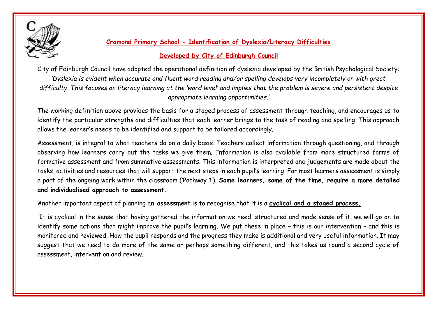

## **Cramond Primary School - Identification of Dyslexia/Literacy Difficulties**

## **Developed by City of Edinburgh Council**

City of Edinburgh Council have adopted the operational definition of dyslexia developed by the British Psychological Society: *'Dyslexia is evident when accurate and fluent word reading and/or spelling develops very incompletely or with great difficulty. This focuses on literacy learning at the 'word level' and implies that the problem is severe and persistent despite appropriate learning opportunities.'*

The working definition above provides the basis for a staged process of assessment through teaching, and encourages us to identify the particular strengths and difficulties that each learner brings to the task of reading and spelling. This approach allows the learner's needs to be identified and support to be tailored accordingly.

Assessment, is integral to what teachers do on a daily basis. Teachers collect information through questioning, and through observing how learners carry out the tasks we give them. Information is also available from more structured forms of formative assessment and from summative assessments. This information is interpreted and judgements are made about the tasks, activities and resources that will support the next steps in each pupil's learning. For most learners assessment is simply a part of the ongoing work within the classroom ('Pathway 1'). **Some learners, some of the time, require a more detailed and individualised approach to assessment.**

Another important aspect of planning an **assessment** is to recognise that it is a **cyclical and a staged process.**

It is cyclical in the sense that having gathered the information we need, structured and made sense of it, we will go on to identify some actions that might improve the pupil's learning. We put these in place – this is our intervention – and this is monitored and reviewed. How the pupil responds and the progress they make is additional and very useful information. It may suggest that we need to do more of the same or perhaps something different, and this takes us round a second cycle of assessment, intervention and review.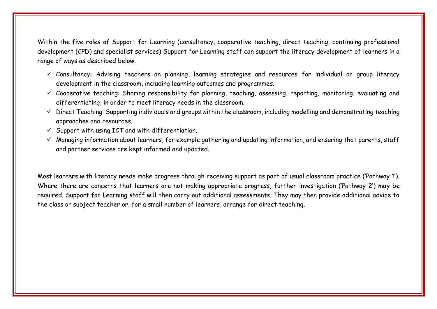Within the five roles of Support for Learning (consultancy, cooperative teaching, direct teaching, continuing professional development (CPD) and specialist services) Support for Learning staff can support the literacy development of learners in a range of ways as described below.

- ✓ Consultancy: Advising teachers on planning, learning strategies and resources for individual or group literacy development in the classroom, including learning outcomes and programmes.
- $\checkmark$  Cooperative teaching: Sharing responsibility for planning, teaching, assessing, reporting, monitoring, evaluating and differentiating, in order to meet literacy needs in the classroom.
- ✓ Direct Teaching: Supporting individuals and groups within the classroom, including modelling and demonstrating teaching approaches and resources.
- $\checkmark$  Support with using ICT and with differentiation.
- $\checkmark$  Managing information about learners, for example gathering and updating information, and ensuring that parents, staff and partner services are kept informed and updated.

Most learners with literacy needs make progress through receiving support as part of usual classroom practice ('Pathway 1'). Where there are concerns that learners are not making appropriate progress, further investigation ('Pathway 2') may be required. Support for Learning staff will then carry out additional assessments. They may then provide additional advice to the class or subject teacher or, for a small number of learners, arrange for direct teaching.